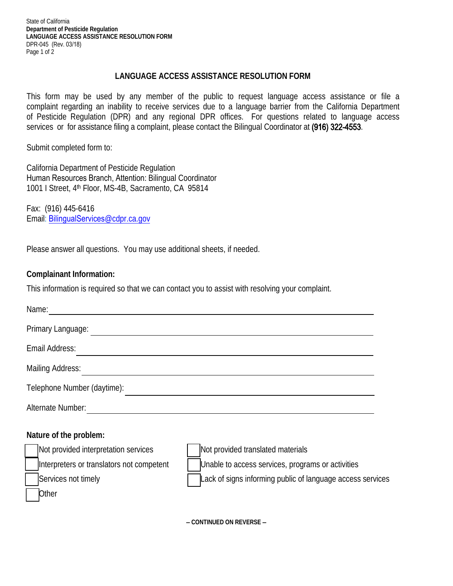State of California **Department of Pesticide Regulation LANGUAGE ACCESS ASSISTANCE RESOLUTION FORM**  DPR-045 (Rev. 03/18) Page 1 of 2

## **LANGUAGE ACCESS ASSISTANCE RESOLUTION FORM**

 This form may be used by any member of the public to request language access assistance or file a of Pesticide Regulation (DPR) and any regional DPR offices. For questions related to language access complaint regarding an inability to receive services due to a language barrier from the California Department services or for assistance filing a complaint, please contact the Bilingual Coordinator at (916) 322-4553.

Submit completed form to:

California Department of Pesticide Regulation Human Resources Branch, Attention: Bilingual Coordinator 1001 I Street, 4th Floor, MS-4B, Sacramento, CA 95814

Fax: (916) 445-6416 Email: BilingualServices@cdpr.ca.gov

Please answer all questions. You may use additional sheets, if needed.

## **Complainant Information:**

This information is required so that we can contact you to assist with resolving your complaint.

| Name:                                     |                                                           |
|-------------------------------------------|-----------------------------------------------------------|
| Primary Language:                         |                                                           |
| Email Address:                            |                                                           |
| <b>Mailing Address:</b>                   |                                                           |
| Telephone Number (daytime):               |                                                           |
| Alternate Number:                         |                                                           |
| Nature of the problem:                    |                                                           |
| Not provided interpretation services      | Not provided translated materials                         |
| Interpreters or translators not competent | Unable to access services, programs or activities         |
| Services not timely                       | ack of signs informing public of language access services |
| Other                                     |                                                           |
|                                           | CONTINILED ON DEVEDSE                                     |

− **CONTINUED ON REVERSE** −